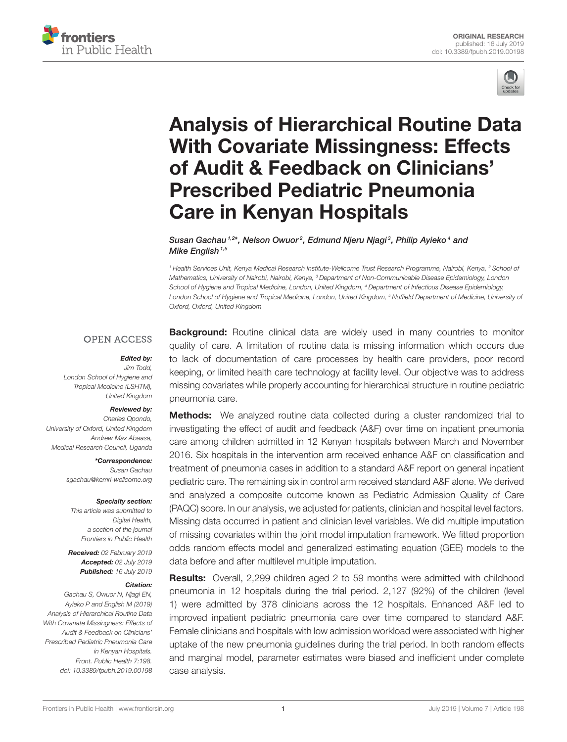



# Analysis of Hierarchical Routine Data [With Covariate Missingness: Effects](https://www.frontiersin.org/articles/10.3389/fpubh.2019.00198/full) of Audit & Feedback on Clinicians' Prescribed Pediatric Pneumonia Care in Kenyan Hospitals

[Susan Gachau](http://loop.frontiersin.org/people/648055/overview)<sup>1,2\*</sup>, [Nelson Owuor](http://loop.frontiersin.org/people/750761/overview)<sup>2</sup>, [Edmund Njeru Njagi](http://loop.frontiersin.org/people/768067/overview)<sup>3</sup>, [Philip Ayieko](http://loop.frontiersin.org/people/751622/overview)<sup>4</sup> and Mike English<sup> $1,5$ </sup>

*<sup>1</sup> Health Services Unit, Kenya Medical Research Institute-Wellcome Trust Research Programme, Nairobi, Kenya, <sup>2</sup> School of Mathematics, University of Nairobi, Nairobi, Kenya, <sup>3</sup> Department of Non-Communicable Disease Epidemiology, London School of Hygiene and Tropical Medicine, London, United Kingdom, <sup>4</sup> Department of Infectious Disease Epidemiology, London School of Hygiene and Tropical Medicine, London, United Kingdom, <sup>5</sup> Nuffield Department of Medicine, University of Oxford, Oxford, United Kingdom*

## **OPEN ACCESS**

#### Edited by:

*Jim Todd, London School of Hygiene and Tropical Medicine (LSHTM), United Kingdom*

#### Reviewed by:

*Charles Opondo, University of Oxford, United Kingdom Andrew Max Abaasa, Medical Research Council, Uganda*

> \*Correspondence: *Susan Gachau [sgachau@kemri-wellcome.org](mailto:sgachau@kemri-wellcome.org)*

#### Specialty section:

*This article was submitted to Digital Health, a section of the journal Frontiers in Public Health*

Received: *02 February 2019* Accepted: *02 July 2019* Published: *16 July 2019*

#### Citation:

*Gachau S, Owuor N, Njagi EN, Ayieko P and English M (2019) Analysis of Hierarchical Routine Data With Covariate Missingness: Effects of Audit & Feedback on Clinicians' Prescribed Pediatric Pneumonia Care in Kenyan Hospitals. Front. Public Health 7:198. doi: [10.3389/fpubh.2019.00198](https://doi.org/10.3389/fpubh.2019.00198)*

**Background:** Routine clinical data are widely used in many countries to monitor quality of care. A limitation of routine data is missing information which occurs due to lack of documentation of care processes by health care providers, poor record keeping, or limited health care technology at facility level. Our objective was to address missing covariates while properly accounting for hierarchical structure in routine pediatric pneumonia care.

**Methods:** We analyzed routine data collected during a cluster randomized trial to investigating the effect of audit and feedback (A&F) over time on inpatient pneumonia care among children admitted in 12 Kenyan hospitals between March and November 2016. Six hospitals in the intervention arm received enhance A&F on classification and treatment of pneumonia cases in addition to a standard A&F report on general inpatient pediatric care. The remaining six in control arm received standard A&F alone. We derived and analyzed a composite outcome known as Pediatric Admission Quality of Care (PAQC) score. In our analysis, we adjusted for patients, clinician and hospital level factors. Missing data occurred in patient and clinician level variables. We did multiple imputation of missing covariates within the joint model imputation framework. We fitted proportion odds random effects model and generalized estimating equation (GEE) models to the data before and after multilevel multiple imputation.

**Results:** Overall, 2,299 children aged 2 to 59 months were admitted with childhood pneumonia in 12 hospitals during the trial period. 2,127 (92%) of the children (level 1) were admitted by 378 clinicians across the 12 hospitals. Enhanced A&F led to improved inpatient pediatric pneumonia care over time compared to standard A&F. Female clinicians and hospitals with low admission workload were associated with higher uptake of the new pneumonia guidelines during the trial period. In both random effects and marginal model, parameter estimates were biased and inefficient under complete case analysis.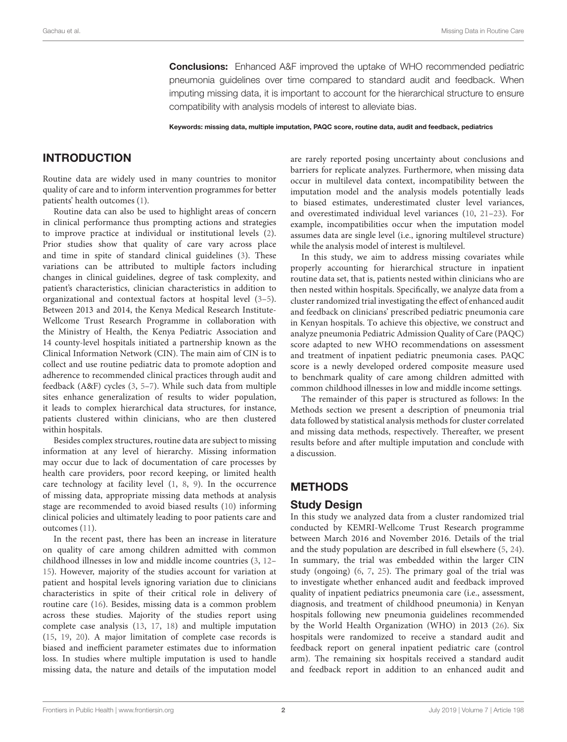Conclusions: Enhanced A&F improved the uptake of WHO recommended pediatric pneumonia guidelines over time compared to standard audit and feedback. When imputing missing data, it is important to account for the hierarchical structure to ensure compatibility with analysis models of interest to alleviate bias.

Keywords: missing data, multiple imputation, PAQC score, routine data, audit and feedback, pediatrics

## INTRODUCTION

Routine data are widely used in many countries to monitor quality of care and to inform intervention programmes for better patients' health outcomes [\(1\)](#page-10-0).

Routine data can also be used to highlight areas of concern in clinical performance thus prompting actions and strategies to improve practice at individual or institutional levels [\(2\)](#page-10-1). Prior studies show that quality of care vary across place and time in spite of standard clinical guidelines [\(3\)](#page-10-2). These variations can be attributed to multiple factors including changes in clinical guidelines, degree of task complexity, and patient's characteristics, clinician characteristics in addition to organizational and contextual factors at hospital level [\(3](#page-10-2)[–5\)](#page-10-3). Between 2013 and 2014, the Kenya Medical Research Institute-Wellcome Trust Research Programme in collaboration with the Ministry of Health, the Kenya Pediatric Association and 14 county-level hospitals initiated a partnership known as the Clinical Information Network (CIN). The main aim of CIN is to collect and use routine pediatric data to promote adoption and adherence to recommended clinical practices through audit and feedback (A&F) cycles [\(3,](#page-10-2) [5](#page-10-3)[–7\)](#page-10-4). While such data from multiple sites enhance generalization of results to wider population, it leads to complex hierarchical data structures, for instance, patients clustered within clinicians, who are then clustered within hospitals.

Besides complex structures, routine data are subject to missing information at any level of hierarchy. Missing information may occur due to lack of documentation of care processes by health care providers, poor record keeping, or limited health care technology at facility level [\(1,](#page-10-0) [8,](#page-10-5) [9\)](#page-10-6). In the occurrence of missing data, appropriate missing data methods at analysis stage are recommended to avoid biased results [\(10\)](#page-10-7) informing clinical policies and ultimately leading to poor patients care and outcomes [\(11\)](#page-10-8).

In the recent past, there has been an increase in literature on quality of care among children admitted with common childhood illnesses in low and middle income countries [\(3,](#page-10-2) [12–](#page-10-9) [15\)](#page-10-10). However, majority of the studies account for variation at patient and hospital levels ignoring variation due to clinicians characteristics in spite of their critical role in delivery of routine care [\(16\)](#page-10-11). Besides, missing data is a common problem across these studies. Majority of the studies report using complete case analysis [\(13,](#page-10-12) [17,](#page-10-13) [18\)](#page-10-14) and multiple imputation [\(15,](#page-10-10) [19,](#page-10-15) [20\)](#page-11-0). A major limitation of complete case records is biased and inefficient parameter estimates due to information loss. In studies where multiple imputation is used to handle missing data, the nature and details of the imputation model are rarely reported posing uncertainty about conclusions and barriers for replicate analyzes. Furthermore, when missing data occur in multilevel data context, incompatibility between the imputation model and the analysis models potentially leads to biased estimates, underestimated cluster level variances, and overestimated individual level variances [\(10,](#page-10-7) [21](#page-11-1)[–23\)](#page-11-2). For example, incompatibilities occur when the imputation model assumes data are single level (i.e., ignoring multilevel structure) while the analysis model of interest is multilevel.

In this study, we aim to address missing covariates while properly accounting for hierarchical structure in inpatient routine data set, that is, patients nested within clinicians who are then nested within hospitals. Specifically, we analyze data from a cluster randomized trial investigating the effect of enhanced audit and feedback on clinicians' prescribed pediatric pneumonia care in Kenyan hospitals. To achieve this objective, we construct and analyze pneumonia Pediatric Admission Quality of Care (PAQC) score adapted to new WHO recommendations on assessment and treatment of inpatient pediatric pneumonia cases. PAQC score is a newly developed ordered composite measure used to benchmark quality of care among children admitted with common childhood illnesses in low and middle income settings.

The remainder of this paper is structured as follows: In the Methods section we present a description of pneumonia trial data followed by statistical analysis methods for cluster correlated and missing data methods, respectively. Thereafter, we present results before and after multiple imputation and conclude with a discussion.

## **METHODS**

## Study Design

In this study we analyzed data from a cluster randomized trial conducted by KEMRI-Wellcome Trust Research programme between March 2016 and November 2016. Details of the trial and the study population are described in full elsewhere [\(5,](#page-10-3) [24\)](#page-11-3). In summary, the trial was embedded within the larger CIN study (ongoing) [\(6,](#page-10-16) [7,](#page-10-4) [25\)](#page-11-4). The primary goal of the trial was to investigate whether enhanced audit and feedback improved quality of inpatient pediatrics pneumonia care (i.e., assessment, diagnosis, and treatment of childhood pneumonia) in Kenyan hospitals following new pneumonia guidelines recommended by the World Health Organization (WHO) in 2013 [\(26\)](#page-11-5). Six hospitals were randomized to receive a standard audit and feedback report on general inpatient pediatric care (control arm). The remaining six hospitals received a standard audit and feedback report in addition to an enhanced audit and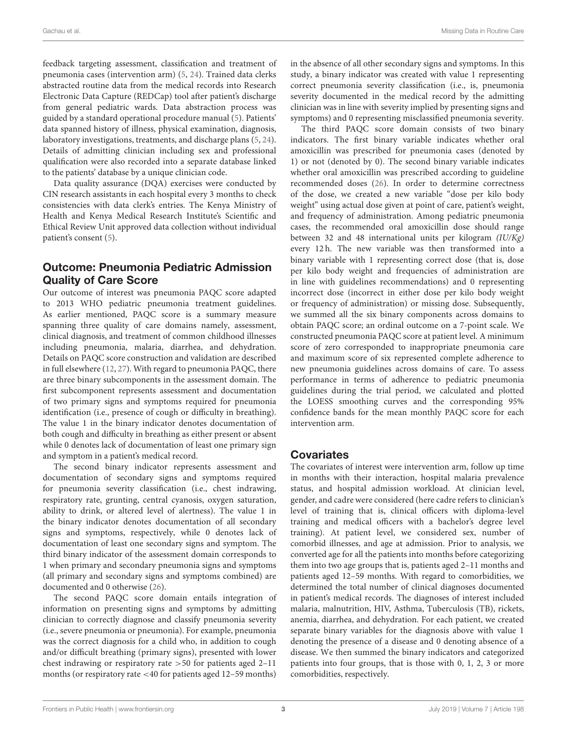feedback targeting assessment, classification and treatment of pneumonia cases (intervention arm) [\(5,](#page-10-3) [24\)](#page-11-3). Trained data clerks abstracted routine data from the medical records into Research Electronic Data Capture (REDCap) tool after patient's discharge from general pediatric wards. Data abstraction process was guided by a standard operational procedure manual [\(5\)](#page-10-3). Patients' data spanned history of illness, physical examination, diagnosis, laboratory investigations, treatments, and discharge plans [\(5,](#page-10-3) [24\)](#page-11-3). Details of admitting clinician including sex and professional qualification were also recorded into a separate database linked to the patients' database by a unique clinician code.

Data quality assurance (DQA) exercises were conducted by CIN research assistants in each hospital every 3 months to check consistencies with data clerk's entries. The Kenya Ministry of Health and Kenya Medical Research Institute's Scientific and Ethical Review Unit approved data collection without individual patient's consent [\(5\)](#page-10-3).

# Outcome: Pneumonia Pediatric Admission Quality of Care Score

Our outcome of interest was pneumonia PAQC score adapted to 2013 WHO pediatric pneumonia treatment guidelines. As earlier mentioned, PAQC score is a summary measure spanning three quality of care domains namely, assessment, clinical diagnosis, and treatment of common childhood illnesses including pneumonia, malaria, diarrhea, and dehydration. Details on PAQC score construction and validation are described in full elsewhere [\(12,](#page-10-9) [27\)](#page-11-6). With regard to pneumonia PAQC, there are three binary subcomponents in the assessment domain. The first subcomponent represents assessment and documentation of two primary signs and symptoms required for pneumonia identification (i.e., presence of cough or difficulty in breathing). The value 1 in the binary indicator denotes documentation of both cough and difficulty in breathing as either present or absent while 0 denotes lack of documentation of least one primary sign and symptom in a patient's medical record.

The second binary indicator represents assessment and documentation of secondary signs and symptoms required for pneumonia severity classification (i.e., chest indrawing, respiratory rate, grunting, central cyanosis, oxygen saturation, ability to drink, or altered level of alertness). The value 1 in the binary indicator denotes documentation of all secondary signs and symptoms, respectively, while 0 denotes lack of documentation of least one secondary signs and symptom. The third binary indicator of the assessment domain corresponds to 1 when primary and secondary pneumonia signs and symptoms (all primary and secondary signs and symptoms combined) are documented and 0 otherwise [\(26\)](#page-11-5).

The second PAQC score domain entails integration of information on presenting signs and symptoms by admitting clinician to correctly diagnose and classify pneumonia severity (i.e., severe pneumonia or pneumonia). For example, pneumonia was the correct diagnosis for a child who, in addition to cough and/or difficult breathing (primary signs), presented with lower chest indrawing or respiratory rate >50 for patients aged 2–11 months (or respiratory rate <40 for patients aged 12–59 months) in the absence of all other secondary signs and symptoms. In this study, a binary indicator was created with value 1 representing correct pneumonia severity classification (i.e., is, pneumonia severity documented in the medical record by the admitting clinician was in line with severity implied by presenting signs and symptoms) and 0 representing misclassified pneumonia severity.

The third PAQC score domain consists of two binary indicators. The first binary variable indicates whether oral amoxicillin was prescribed for pneumonia cases (denoted by 1) or not (denoted by 0). The second binary variable indicates whether oral amoxicillin was prescribed according to guideline recommended doses [\(26\)](#page-11-5). In order to determine correctness of the dose, we created a new variable "dose per kilo body weight" using actual dose given at point of care, patient's weight, and frequency of administration. Among pediatric pneumonia cases, the recommended oral amoxicillin dose should range between 32 and 48 international units per kilogram (IU/Kg) every 12 h. The new variable was then transformed into a binary variable with 1 representing correct dose (that is, dose per kilo body weight and frequencies of administration are in line with guidelines recommendations) and 0 representing incorrect dose (incorrect in either dose per kilo body weight or frequency of administration) or missing dose. Subsequently, we summed all the six binary components across domains to obtain PAQC score; an ordinal outcome on a 7-point scale. We constructed pneumonia PAQC score at patient level. A minimum score of zero corresponded to inappropriate pneumonia care and maximum score of six represented complete adherence to new pneumonia guidelines across domains of care. To assess performance in terms of adherence to pediatric pneumonia guidelines during the trial period, we calculated and plotted the LOESS smoothing curves and the corresponding 95% confidence bands for the mean monthly PAQC score for each intervention arm.

# **Covariates**

The covariates of interest were intervention arm, follow up time in months with their interaction, hospital malaria prevalence status, and hospital admission workload. At clinician level, gender, and cadre were considered (here cadre refers to clinician's level of training that is, clinical officers with diploma-level training and medical officers with a bachelor's degree level training). At patient level, we considered sex, number of comorbid illnesses, and age at admission. Prior to analysis, we converted age for all the patients into months before categorizing them into two age groups that is, patients aged 2–11 months and patients aged 12–59 months. With regard to comorbidities, we determined the total number of clinical diagnoses documented in patient's medical records. The diagnoses of interest included malaria, malnutrition, HIV, Asthma, Tuberculosis (TB), rickets, anemia, diarrhea, and dehydration. For each patient, we created separate binary variables for the diagnosis above with value 1 denoting the presence of a disease and 0 denoting absence of a disease. We then summed the binary indicators and categorized patients into four groups, that is those with 0, 1, 2, 3 or more comorbidities, respectively.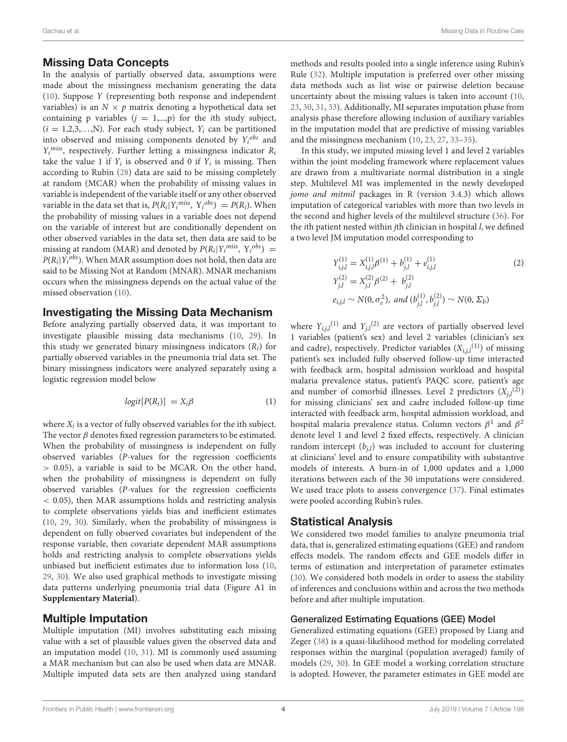## Missing Data Concepts

In the analysis of partially observed data, assumptions were made about the missingness mechanism generating the data [\(10\)](#page-10-7). Suppose Y (representing both response and independent variables) is an  $N \times p$  matrix denoting a hypothetical data set containing p variables  $(j = 1,...,p)$  for the *i*th study subject,  $(i = 1, 2, 3, \ldots, N)$ . For each study subject,  $Y_i$  can be partitioned into observed and missing components denoted by  $Y_i^{obs}$  and  $Y_i^{miss}$ , respectively. Further letting a missingness indicator  $R_i$ take the value 1 if  $Y_i$  is observed and 0 if  $Y_i$  is missing. Then according to Rubin [\(28\)](#page-11-7) data are said to be missing completely at random (MCAR) when the probability of missing values in variable is independent of the variable itself or any other observed variable in the data set that is,  $P(R_i|Y_i^{miss}, Y_i^{obs}) = P(R_i)$ . When the probability of missing values in a variable does not depend on the variable of interest but are conditionally dependent on other observed variables in the data set, then data are said to be missing at random (MAR) and denoted by  $P(R_i|Y_i^{miss}, Y_i^{obs}) =$  $P(R_i|Y_i^{obs})$ . When MAR assumption does not hold, then data are said to be Missing Not at Random (MNAR). MNAR mechanism occurs when the missingness depends on the actual value of the missed observation [\(10\)](#page-10-7).

## Investigating the Missing Data Mechanism

Before analyzing partially observed data, it was important to investigate plausible missing data mechanisms [\(10,](#page-10-7) [29\)](#page-11-8). In this study we generated binary missingness indicators  $(R<sub>i</sub>)$  for partially observed variables in the pneumonia trial data set. The binary missingness indicators were analyzed separately using a logistic regression model below

$$
logit[P(R_i)] = X_i \beta \tag{1}
$$

where  $X_i$  is a vector of fully observed variables for the ith subject. The vector  $\beta$  denotes fixed regression parameters to be estimated. When the probability of missingness is independent on fully observed variables (P-values for the regression coefficients > 0.05), a variable is said to be MCAR. On the other hand, when the probability of missingness is dependent on fully observed variables (P-values for the regression coefficients < 0.05), then MAR assumptions holds and restricting analysis to complete observations yields bias and inefficient estimates [\(10,](#page-10-7) [29,](#page-11-8) [30\)](#page-11-9). Similarly, when the probability of missingness is dependent on fully observed covariates but independent of the response variable, then covariate dependent MAR assumptions holds and restricting analysis to complete observations yields unbiased but inefficient estimates due to information loss [\(10,](#page-10-7) [29,](#page-11-8) [30\)](#page-11-9). We also used graphical methods to investigate missing data patterns underlying pneumonia trial data (Figure A1 in **[Supplementary Material](#page-10-17)**).

## Multiple Imputation

Multiple imputation (MI) involves substituting each missing value with a set of plausible values given the observed data and an imputation model [\(10,](#page-10-7) [31\)](#page-11-10). MI is commonly used assuming a MAR mechanism but can also be used when data are MNAR. Multiple imputed data sets are then analyzed using standard methods and results pooled into a single inference using Rubin's Rule [\(32\)](#page-11-11). Multiple imputation is preferred over other missing data methods such as list wise or pairwise deletion because uncertainty about the missing values is taken into account [\(10,](#page-10-7) [23,](#page-11-2) [30,](#page-11-9) [31,](#page-11-10) [33\)](#page-11-12). Additionally, MI separates imputation phase from analysis phase therefore allowing inclusion of auxiliary variables in the imputation model that are predictive of missing variables and the missingness mechanism [\(10,](#page-10-7) [23,](#page-11-2) [27,](#page-11-6) [33–](#page-11-12)[35\)](#page-11-13).

In this study, we imputed missing level 1 and level 2 variables within the joint modeling framework where replacement values are drawn from a multivariate normal distribution in a single step. Multilevel MI was implemented in the newly developed jomo and mitmil packages in R (version 3.4.3) which allows imputation of categorical variables with more than two levels in the second and higher levels of the multilevel structure [\(36\)](#page-11-14). For the ith patient nested within jth clinician in hospital l, we defined a two level JM imputation model corresponding to

$$
Y_{i,j,l}^{(1)} = X_{i,j,l}^{(1)} \beta^{(1)} + b_{j,l}^{(1)} + e_{i,j,l}^{(1)}
$$
\n
$$
Y_{j,l}^{(2)} = X_{j,l}^{(2)} \beta^{(2)} + b_{j,l}^{(2)}
$$
\n
$$
e_{i,j,l} \sim N(0, \sigma_e^2), \text{ and } (b_{j,l}^{(1)}, b_{j,l}^{(2)}) \sim N(0, \Sigma_b)
$$
\n(2)

where  $Y_{i,j,l}^{(1)}$  and  $Y_{j,l}^{(2)}$  are vectors of partially observed level 1 variables (patient's sex) and level 2 variables (clinician's sex and cadre), respectively. Predictor variables  $(X_{i,j,l}^{(1)})$  of missing patient's sex included fully observed follow-up time interacted with feedback arm, hospital admission workload and hospital malaria prevalence status, patient's PAQC score, patient's age and number of comorbid illnesses. Level 2 predictors  $(X_{j,l}^{(2)})$ for missing clinicians' sex and cadre included follow-up time interacted with feedback arm, hospital admission workload, and hospital malaria prevalence status. Column vectors  $\beta^1$  and  $\beta^2$ denote level 1 and level 2 fixed effects, respectively. A clinician random intercept  $(b_{j,l})$  was included to account for clustering at clinicians' level and to ensure compatibility with substantive models of interests. A burn-in of 1,000 updates and a 1,000 iterations between each of the 30 imputations were considered. We used trace plots to assess convergence [\(37\)](#page-11-15). Final estimates were pooled according Rubin's rules.

## Statistical Analysis

We considered two model families to analyze pneumonia trial data, that is, generalized estimating equations (GEE) and random effects models. The random effects and GEE models differ in terms of estimation and interpretation of parameter estimates [\(30\)](#page-11-9). We considered both models in order to assess the stability of inferences and conclusions within and across the two methods before and after multiple imputation.

#### Generalized Estimating Equations (GEE) Model

Generalized estimating equations (GEE) proposed by Liang and Zeger [\(38\)](#page-11-16) is a quasi-likelihood method for modeling correlated responses within the marginal (population averaged) family of models [\(29,](#page-11-8) [30\)](#page-11-9). In GEE model a working correlation structure is adopted. However, the parameter estimates in GEE model are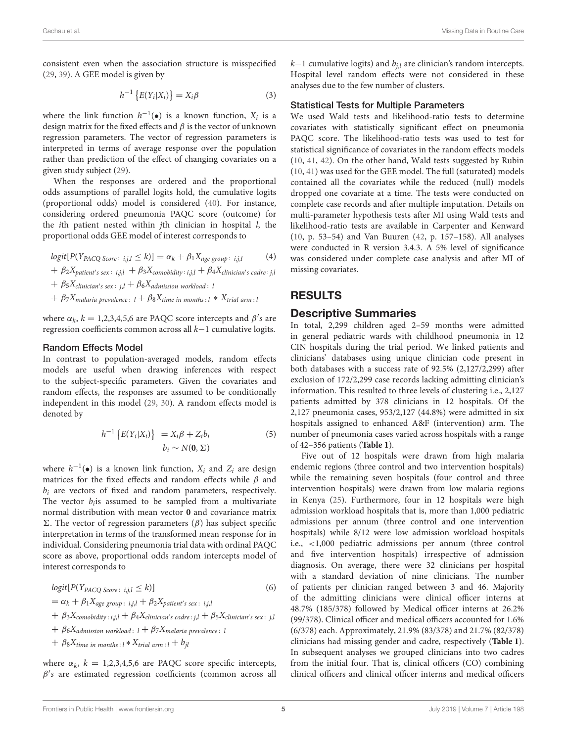consistent even when the association structure is misspecified [\(29,](#page-11-8) [39\)](#page-11-17). A GEE model is given by

$$
h^{-1}\left\{E(Y_i|X_i)\right\} = X_i\beta\tag{3}
$$

where the link function  $h^{-1}(\bullet)$  is a known function,  $X_i$  is a design matrix for the fixed effects and  $\beta$  is the vector of unknown regression parameters. The vector of regression parameters is interpreted in terms of average response over the population rather than prediction of the effect of changing covariates on a given study subject [\(29\)](#page-11-8).

When the responses are ordered and the proportional odds assumptions of parallel logits hold, the cumulative logits (proportional odds) model is considered [\(40\)](#page-11-18). For instance, considering ordered pneumonia PAQC score (outcome) for the *i*th patient nested within *j*th clinician in hospital  $l$ , the proportional odds GEE model of interest corresponds to

$$
logit[P(Y_{PACQ\ Score: i,j,l} \le k)] = \alpha_k + \beta_1 X_{age\ group: i,j,l} \tag{4}
$$

- $+$   $\beta_2 X_{patient's \ sex: \ i,j,l} + \beta_3 X_{comobidity: \ i,j,l} + \beta_4 X_{climization's \ cadre: \ j,l}$
- $+$   $\beta$ 5 $X_{clinician's \ sex: \ j,l} + \beta_6 X_{admission \ workload: \ l}$
- $+ \beta_7 X_{malaria\ prevalence: 1} + \beta_8 X_{time\ in\ months: 1} * X_{trial\ arm: 1}$

where  $\alpha_k$ ,  $k = 1,2,3,4,5,6$  are PAQC score intercepts and  $\beta$ 's are regression coefficients common across all k−1 cumulative logits.

#### Random Effects Model

In contrast to population-averaged models, random effects models are useful when drawing inferences with respect to the subject-specific parameters. Given the covariates and random effects, the responses are assumed to be conditionally independent in this model [\(29,](#page-11-8) [30\)](#page-11-9). A random effects model is denoted by

$$
h^{-1}\left\{E(Y_i|X_i)\right\} = X_i\beta + Z_i b_i
$$
\n
$$
b_i \sim N(\mathbf{0}, \Sigma)
$$
\n(5)

where  $h^{-1}(\bullet)$  is a known link function,  $X_i$  and  $Z_i$  are design matrices for the fixed effects and random effects while  $\beta$  and  $b_i$  are vectors of fixed and random parameters, respectively. The vector  $b_i$  is assumed to be sampled from a multivariate normal distribution with mean vector **0** and covariance matrix Σ. The vector of regression parameters ( $β$ ) has subject specific interpretation in terms of the transformed mean response for in individual. Considering pneumonia trial data with ordinal PAQC score as above, proportional odds random intercepts model of interest corresponds to

$$
logit[P(Y_{PACQ Score: i,j,l} \le k)]
$$
\n
$$
= \alpha_k + \beta_1 X_{age \ group: i,j,l} + \beta_2 X_{patient's \ sex: i,j,l}
$$
\n
$$
+ \beta_3 X_{comobidity: i,j,l} + \beta_4 X_{clinition's \ cadre: j,l} + \beta_5 X_{clinition's \ sex: j,l}
$$
\n
$$
+ \beta_6 X_{admission \ workload: l} + \beta_7 X_{malaria \ prevalence: l}
$$
\n
$$
+ \beta_8 X_{time \ in \ months: l} * X_{trial \ arm: l} + b_{jl}
$$

where  $\alpha_k$ ,  $k = 1,2,3,4,5,6$  are PAQC score specific intercepts, β ′ s are estimated regression coefficients (common across all  $k-1$  cumulative logits) and  $b_{i,l}$  are clinician's random intercepts. Hospital level random effects were not considered in these analyses due to the few number of clusters.

#### Statistical Tests for Multiple Parameters

We used Wald tests and likelihood-ratio tests to determine covariates with statistically significant effect on pneumonia PAQC score. The likelihood-ratio tests was used to test for statistical significance of covariates in the random effects models [\(10,](#page-10-7) [41,](#page-11-19) [42\)](#page-11-20). On the other hand, Wald tests suggested by Rubin [\(10,](#page-10-7) [41\)](#page-11-19) was used for the GEE model. The full (saturated) models contained all the covariates while the reduced (null) models dropped one covariate at a time. The tests were conducted on complete case records and after multiple imputation. Details on multi-parameter hypothesis tests after MI using Wald tests and likelihood-ratio tests are available in Carpenter and Kenward [\(10,](#page-10-7) p. 53–54) and Van Buuren [\(42,](#page-11-20) p. 157–158). All analyses were conducted in R version 3.4.3. A 5% level of significance was considered under complete case analysis and after MI of missing covariates.

## RESULTS

#### Descriptive Summaries

In total, 2,299 children aged 2–59 months were admitted in general pediatric wards with childhood pneumonia in 12 CIN hospitals during the trial period. We linked patients and clinicians' databases using unique clinician code present in both databases with a success rate of 92.5% (2,127/2,299) after exclusion of 172/2,299 case records lacking admitting clinician's information. This resulted to three levels of clustering i.e., 2,127 patients admitted by 378 clinicians in 12 hospitals. Of the 2,127 pneumonia cases, 953/2,127 (44.8%) were admitted in six hospitals assigned to enhanced A&F (intervention) arm. The number of pneumonia cases varied across hospitals with a range of 42–356 patients (**[Table 1](#page-5-0)**).

Five out of 12 hospitals were drawn from high malaria endemic regions (three control and two intervention hospitals) while the remaining seven hospitals (four control and three intervention hospitals) were drawn from low malaria regions in Kenya [\(25\)](#page-11-4). Furthermore, four in 12 hospitals were high admission workload hospitals that is, more than 1,000 pediatric admissions per annum (three control and one intervention hospitals) while 8/12 were low admission workload hospitals i.e., <1,000 pediatric admissions per annum (three control and five intervention hospitals) irrespective of admission diagnosis. On average, there were 32 clinicians per hospital with a standard deviation of nine clinicians. The number of patients per clinician ranged between 3 and 46. Majority of the admitting clinicians were clinical officer interns at 48.7% (185/378) followed by Medical officer interns at 26.2% (99/378). Clinical officer and medical officers accounted for 1.6% (6/378) each. Approximately, 21.9% (83/378) and 21.7% (82/378) clinicians had missing gender and cadre, respectively (**[Table 1](#page-5-0)**). In subsequent analyses we grouped clinicians into two cadres from the initial four. That is, clinical officers (CO) combining clinical officers and clinical officer interns and medical officers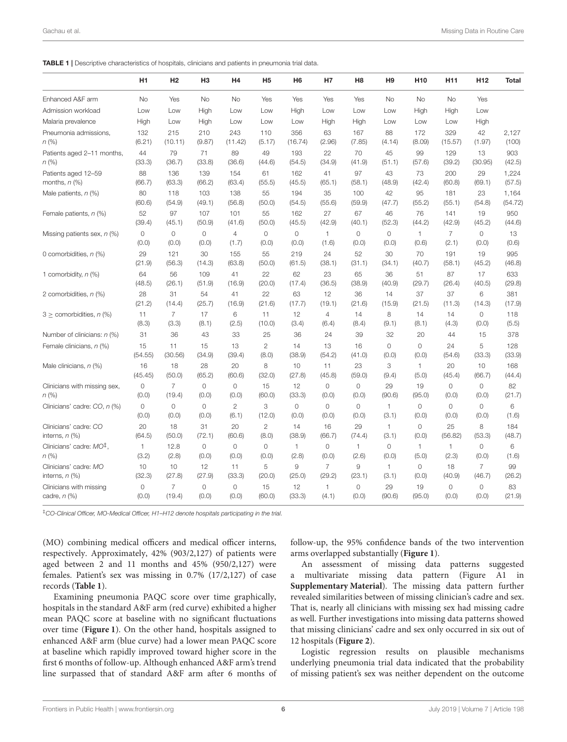<span id="page-5-0"></span>TABLE 1 | Descriptive characteristics of hospitals, clinicians and patients in pneumonia trial data.

|                                      | H <sub>1</sub>      | H <sub>2</sub> | H <sub>3</sub> | H4             | H <sub>5</sub> | H <sub>6</sub> | <b>H7</b>      | H <sub>8</sub>      | H <sub>9</sub>      | H <sub>10</sub> | H <sub>11</sub> | H <sub>12</sub> | <b>Total</b> |
|--------------------------------------|---------------------|----------------|----------------|----------------|----------------|----------------|----------------|---------------------|---------------------|-----------------|-----------------|-----------------|--------------|
| Enhanced A&F arm                     | <b>No</b>           | Yes            | No             | <b>No</b>      | Yes            | Yes            | Yes            | Yes                 | No                  | No              | No              | Yes             |              |
| Admission workload                   | Low                 | Low            | High           | Low            | Low            | High           | Low            | Low                 | Low                 | High            | High            | Low             |              |
| Malaria prevalence                   | High                | Low            | High           | Low            | Low            | Low            | High           | High                | Low                 | Low             | Low             | High            |              |
| Pneumonia admissions,                | 132                 | 215            | 210            | 243            | 110            | 356            | 63             | 167                 | 88                  | 172             | 329             | 42              | 2,127        |
| $n$ (%)                              | (6.21)              | (10.11)        | (9.87)         | (11.42)        | (5.17)         | (16.74)        | (2.96)         | (7.85)              | (4.14)              | (8.09)          | (15.57)         | (1.97)          | (100)        |
| Patients aged 2-11 months,           | 44                  | 79             | 71             | 89             | 49             | 193            | 22             | 70                  | 45                  | 99              | 129             | 13              | 903          |
| n (%)                                | (33.3)              | (36.7)         | (33.8)         | (36.6)         | (44.6)         | (54.5)         | (34.9)         | (41.9)              | (51.1)              | (57.6)          | (39.2)          | (30.95)         | (42.5)       |
| Patients aged 12-59                  | 88                  | 136            | 139            | 154            | 61             | 162            | 41             | 97                  | 43                  | 73              | 200             | 29              | 1,224        |
| months, $n$ (%)                      | (66.7)              | (63.3)         | (66.2)         | (63.4)         | (55.5)         | (45.5)         | (65.1)         | (58.1)              | (48.9)              | (42.4)          | (60.8)          | (69.1)          | (57.5)       |
| Male patients, $n$ (%)               | 80                  | 118            | 103            | 138            | 55             | 194            | 35             | 100                 | 42                  | 95              | 181             | 23              | 1,164        |
|                                      | (60.6)              | (54.9)         | (49.1)         | (56.8)         | (50.0)         | (54.5)         | (55.6)         | (59.9)              | (47.7)              | (55.2)          | (55.1)          | (54.8)          | (54.72)      |
| Female patients, $n$ (%)             | 52                  | 97             | 107            | 101            | 55             | 162            | 27             | 67                  | 46                  | 76              | 141             | 19              | 950          |
|                                      | (39.4)              | (45.1)         | (50.9)         | (41.6)         | (50.0)         | (45.5)         | (42.9)         | (40.1)              | (52.3)              | (44.2)          | (42.9)          | (45.2)          | (44.6)       |
| Missing patients sex, $n$ (%)        | $\circ$             | $\circ$        | $\circ$        | $\overline{4}$ | 0              | $\circ$        | $\mathbf{1}$   | 0                   | $\circ$             | $\mathbf{1}$    | $\overline{7}$  | $\circ$         | 13           |
|                                      | (0.0)               | (0.0)          | (0.0)          | (1.7)          | (0.0)          | (0.0)          | (1.6)          | (0.0)               | (0.0)               | (0.6)           | (2.1)           | (0.0)           | (0.6)        |
| 0 comorbidities, $n$ (%)             | 29                  | 121            | 30             | 155            | 55             | 219            | 24             | 52                  | 30                  | 70              | 191             | 19              | 995          |
|                                      | (21.9)              | (56.3)         | (14.3)         | (63.8)         | (50.0)         | (61.5)         | (38.1)         | (31.1)              | (34.1)              | (40.7)          | (58.1)          | (45.2)          | (46.8)       |
| 1 comorbidity, $n$ (%)               | 64                  | 56             | 109            | 41             | 22             | 62             | 23             | 65                  | 36                  | 51              | 87              | 17              | 633          |
|                                      | (48.5)              | (26.1)         | (51.9)         | (16.9)         | (20.0)         | (17.4)         | (36.5)         | (38.9)              | (40.9)              | (29.7)          | (26.4)          | (40.5)          | (29.8)       |
| 2 comorbidities, n (%)               | 28                  | 31             | 54             | 41             | 22             | 63             | 12             | 36                  | 14                  | 37              | 37              | 6               | 381          |
|                                      | (21.2)              | (14.4)         | (25.7)         | (16.9)         | (21.6)         | (17.7)         | (19.1)         | (21.6)              | (15.9)              | (21.5)          | (11.3)          | (14.3)          | (17.9)       |
| $3 \geq$ comorbidities, n (%)        | 11                  | $\overline{7}$ | 17             | 6              | 11             | 12             | $\overline{4}$ | 14                  | 8                   | 14              | 14              | $\circ$         | 118          |
|                                      | (8.3)               | (3.3)          | (8.1)          | (2.5)          | (10.0)         | (3.4)          | (6.4)          | (8.4)               | (9.1)               | (8.1)           | (4.3)           | (0.0)           | (5.5)        |
| Number of clinicians: $n$ (%)        | 31                  | 36             | 43             | 33             | 25             | 36             | 24             | 39                  | 32                  | 20              | 44              | 15              | 378          |
| Female clinicians, n (%)             | 15                  | 11             | 15             | 13             | $\overline{c}$ | 14             | 13             | 16                  | $\circ$             | $\circ$         | 24              | 5               | 128          |
|                                      | (54.55)             | (30.56)        | (34.9)         | (39.4)         | (8.0)          | (38.9)         | (54.2)         | (41.0)              | (0.0)               | (0.0)           | (54.6)          | (33.3)          | (33.9)       |
| Male clinicians, n (%)               | 16                  | 18             | 28             | 20             | 8              | 10             | 11             | 23                  | 3                   | $\mathbf{1}$    | 20              | 10              | 168          |
|                                      | (45.45)             | (50.0)         | (65.2)         | (60.6)         | (32.0)         | (27.8)         | (45.8)         | (59.0)              | (9.4)               | (5.0)           | (45.4)          | (66.7)          | (44.4)       |
| Clinicians with missing sex,         | $\circ$             | $\overline{7}$ | $\circ$        | $\circ$        | 15             | 12             | $\circ$        | $\circ$             | 29                  | 19              | $\circ$         | $\circ$         | 82           |
| n (%)                                | (0.0)               | (19.4)         | (0.0)          | (0.0)          | (60.0)         | (33.3)         | (0.0)          | (0.0)               | (90.6)              | (95.0)          | (0.0)           | (0.0)           | (21.7)       |
| Clinicians' cadre: CO, n (%)         | $\circ$             | $\circ$        | $\overline{0}$ | $\overline{2}$ | 3              | $\circ$        | $\circ$        | $\circ$             | 1                   | $\circ$         | $\overline{0}$  | $\circ$         | 6            |
|                                      | (0.0)               | (0.0)          | (0.0)          | (6.1)          | (12.0)         | (0.0)          | (0.0)          | (0.0)               | (3.1)               | (0.0)           | (0.0)           | (0.0)           | (1.6)        |
| Clinicians' cadre: CO                | 20                  | 18             | 31             | 20             | $\overline{c}$ | 14             | 16             | 29                  | $\mathbf{1}$        | $\circ$         | 25              | 8               | 184          |
| interns, $n$ (%)                     | (64.5)              | (50.0)         | (72.1)         | (60.6)         | (8.0)          | (38.9)         | (66.7)         | (74.4)              | (3.1)               | (0.0)           | (56.82)         | (53.3)          | (48.7)       |
| Clinicians' cadre: MO <sup>‡</sup> , | $\mathbf{1}$        | 12.8           | $\circ$        | $\circ$        | 0              | 1              | 0              | $\mathbf{1}$        | $\mathsf{O}\xspace$ | $\mathbf{1}$    | $\mathbf{1}$    | 0               | 6            |
| n(%)                                 | (3.2)               | (2.8)          | (0.0)          | (0.0)          | (0.0)          | (2.8)          | (0.0)          | (2.6)               | (0.0)               | (5.0)           | (2.3)           | (0.0)           | (1.6)        |
| Clinicians' cadre: MO                | 10                  | 10             | 12             | 11             | 5              | $\mathcal{G}$  | $\overline{7}$ | $\hbox{9}$          | $\mathbf{1}$        | $\circ$         | 18              | $\overline{7}$  | 99           |
| interns, $n$ (%)                     | (32.3)              | (27.8)         | (27.9)         | (33.3)         | (20.0)         | (25.0)         | (29.2)         | (23.1)              | (3.1)               | (0.0)           | (40.9)          | (46.7)          | (26.2)       |
| Clinicians with missing              | $\mathsf{O}\xspace$ | $\overline{7}$ | $\circ$        | $\circ$        | 15             | 12             | $\mathbf{1}$   | $\mathsf{O}\xspace$ | 29                  | 19              | $\circ$         | $\circ$         | 83           |
| cadre, $n$ (%)                       | (0.0)               | (19.4)         | (0.0)          | (0.0)          | (60.0)         | (33.3)         | (4.1)          | (0.0)               | (90.6)              | (95.0)          | (0.0)           | (0.0)           | (21.9)       |

‡*CO-Clinical Officer, MO-Medical Officer, H1–H12 denote hospitals participating in the trial.*

(MO) combining medical officers and medical officer interns, respectively. Approximately, 42% (903/2,127) of patients were aged between 2 and 11 months and 45% (950/2,127) were females. Patient's sex was missing in 0.7% (17/2,127) of case records (**[Table 1](#page-5-0)**).

Examining pneumonia PAQC score over time graphically, hospitals in the standard A&F arm (red curve) exhibited a higher mean PAQC score at baseline with no significant fluctuations over time (**[Figure 1](#page-6-0)**). On the other hand, hospitals assigned to enhanced A&F arm (blue curve) had a lower mean PAQC score at baseline which rapidly improved toward higher score in the first 6 months of follow-up. Although enhanced A&F arm's trend line surpassed that of standard A&F arm after 6 months of follow-up, the 95% confidence bands of the two intervention arms overlapped substantially (**[Figure 1](#page-6-0)**).

An assessment of missing data patterns suggested a multivariate missing data pattern (Figure A1 in **[Supplementary Material](#page-10-17)**). The missing data pattern further revealed similarities between of missing clinician's cadre and sex. That is, nearly all clinicians with missing sex had missing cadre as well. Further investigations into missing data patterns showed that missing clinicians' cadre and sex only occurred in six out of 12 hospitals (**[Figure 2](#page-6-1)**).

Logistic regression results on plausible mechanisms underlying pneumonia trial data indicated that the probability of missing patient's sex was neither dependent on the outcome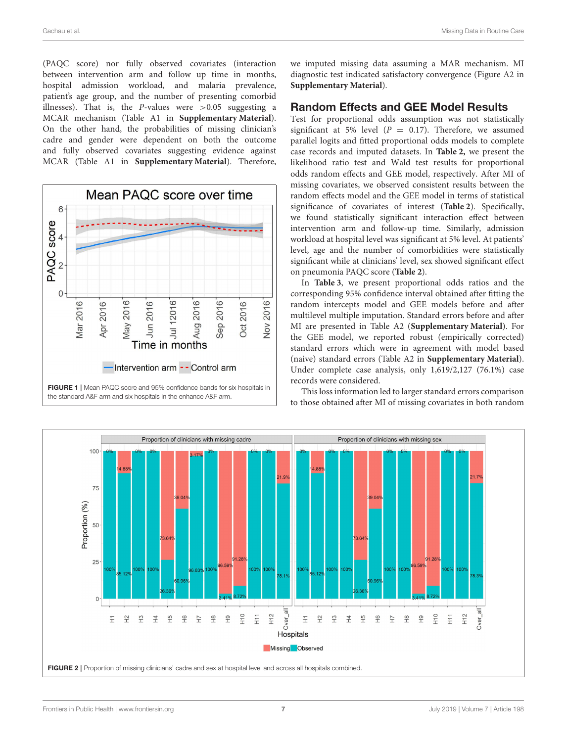(PAQC score) nor fully observed covariates (interaction between intervention arm and follow up time in months, hospital admission workload, and malaria prevalence, patient's age group, and the number of presenting comorbid illnesses). That is, the *P*-values were  $>0.05$  suggesting a MCAR mechanism (Table A1 in **[Supplementary Material](#page-10-17)**). On the other hand, the probabilities of missing clinician's cadre and gender were dependent on both the outcome and fully observed covariates suggesting evidence against MCAR (Table A1 in **[Supplementary Material](#page-10-17)**). Therefore,



we imputed missing data assuming a MAR mechanism. MI diagnostic test indicated satisfactory convergence (Figure A2 in **[Supplementary Material](#page-10-17)**).

## Random Effects and GEE Model Results

Test for proportional odds assumption was not statistically significant at 5% level ( $P = 0.17$ ). Therefore, we assumed parallel logits and fitted proportional odds models to complete case records and imputed datasets. In **[Table 2,](#page-7-0)** we present the likelihood ratio test and Wald test results for proportional odds random effects and GEE model, respectively. After MI of missing covariates, we observed consistent results between the random effects model and the GEE model in terms of statistical significance of covariates of interest (**[Table 2](#page-7-0)**). Specifically, we found statistically significant interaction effect between intervention arm and follow-up time. Similarly, admission workload at hospital level was significant at 5% level. At patients' level, age and the number of comorbidities were statistically significant while at clinicians' level, sex showed significant effect on pneumonia PAQC score (**[Table 2](#page-7-0)**).

In **[Table 3](#page-8-0)**, we present proportional odds ratios and the corresponding 95% confidence interval obtained after fitting the random intercepts model and GEE models before and after multilevel multiple imputation. Standard errors before and after MI are presented in Table A2 (**[Supplementary Material](#page-10-17)**). For the GEE model, we reported robust (empirically corrected) standard errors which were in agreement with model based (naive) standard errors (Table A2 in **[Supplementary Material](#page-10-17)**). Under complete case analysis, only 1,619/2,127 (76.1%) case records were considered.

This loss information led to larger standard errors comparison to those obtained after MI of missing covariates in both random

<span id="page-6-1"></span><span id="page-6-0"></span>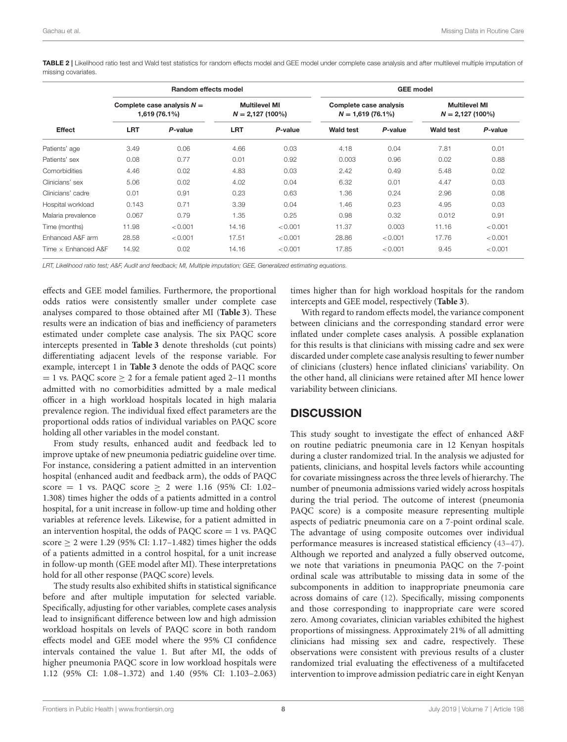<span id="page-7-0"></span>TABLE 2 | Likelihood ratio test and Wald test statistics for random effects model and GEE model under complete case analysis and after multilevel multiple imputation of missing covariates.

| <b>Effect</b>              |            | Random effects model                          |                    |                      | <b>GEE model</b>                              |         |                                            |         |  |  |
|----------------------------|------------|-----------------------------------------------|--------------------|----------------------|-----------------------------------------------|---------|--------------------------------------------|---------|--|--|
|                            |            | Complete case analysis $N =$<br>1,619 (76.1%) | $N = 2,127(100\%)$ | <b>Multilevel MI</b> | Complete case analysis<br>$N = 1,619(76.1\%)$ |         | <b>Multilevel MI</b><br>$N = 2,127(100\%)$ |         |  |  |
|                            | <b>LRT</b> | P-value                                       | <b>LRT</b>         | P-value              | <b>Wald test</b>                              | P-value | <b>Wald test</b>                           | P-value |  |  |
| Patients' age              | 3.49       | 0.06                                          | 4.66               | 0.03                 | 4.18                                          | 0.04    | 7.81                                       | 0.01    |  |  |
| Patients' sex              | 0.08       | 0.77                                          | 0.01               | 0.92                 | 0.003                                         | 0.96    | 0.02                                       | 0.88    |  |  |
| Comorbidities              | 4.46       | 0.02                                          | 4.83               | 0.03                 | 2.42                                          | 0.49    | 5.48                                       | 0.02    |  |  |
| Clinicians' sex            | 5.06       | 0.02                                          | 4.02               | 0.04                 | 6.32                                          | 0.01    | 4.47                                       | 0.03    |  |  |
| Clinicians' cadre          | 0.01       | 0.91                                          | 0.23               | 0.63                 | 1.36                                          | 0.24    | 2.96                                       | 0.08    |  |  |
| Hospital workload          | 0.143      | 0.71                                          | 3.39               | 0.04                 | 1.46                                          | 0.23    | 4.95                                       | 0.03    |  |  |
| Malaria prevalence         | 0.067      | 0.79                                          | 1.35               | 0.25                 | 0.98                                          | 0.32    | 0.012                                      | 0.91    |  |  |
| Time (months)              | 11.98      | < 0.001                                       | 14.16              | < 0.001              | 11.37                                         | 0.003   | 11.16                                      | < 0.001 |  |  |
| Enhanced A&F arm           | 28.58      | < 0.001                                       | 17.51              | < 0.001              | 28.86                                         | < 0.001 | 17.76                                      | < 0.001 |  |  |
| Time $\times$ Enhanced A&F | 14.92      | 0.02                                          | 14.16              | < 0.001              | 17.85                                         | < 0.001 | 9.45                                       | < 0.001 |  |  |

*LRT, Likelihood ratio test; A&F, Audit and feedback; MI, Multiple imputation; GEE, Generalized estimating equations.*

effects and GEE model families. Furthermore, the proportional odds ratios were consistently smaller under complete case analyses compared to those obtained after MI (**[Table 3](#page-8-0)**). These results were an indication of bias and inefficiency of parameters estimated under complete case analysis. The six PAQC score intercepts presented in **[Table 3](#page-8-0)** denote thresholds (cut points) differentiating adjacent levels of the response variable. For example, intercept 1 in **[Table 3](#page-8-0)** denote the odds of PAQC score  $= 1$  vs. PAQC score  $> 2$  for a female patient aged 2–11 months admitted with no comorbidities admitted by a male medical officer in a high workload hospitals located in high malaria prevalence region. The individual fixed effect parameters are the proportional odds ratios of individual variables on PAQC score holding all other variables in the model constant.

From study results, enhanced audit and feedback led to improve uptake of new pneumonia pediatric guideline over time. For instance, considering a patient admitted in an intervention hospital (enhanced audit and feedback arm), the odds of PAQC score = 1 vs. PAQC score  $\geq$  2 were 1.16 (95% CI: 1.02– 1.308) times higher the odds of a patients admitted in a control hospital, for a unit increase in follow-up time and holding other variables at reference levels. Likewise, for a patient admitted in an intervention hospital, the odds of PAQC score  $= 1$  vs. PAQC score  $\geq$  2 were 1.29 (95% CI: 1.17–1.482) times higher the odds of a patients admitted in a control hospital, for a unit increase in follow-up month (GEE model after MI). These interpretations hold for all other response (PAQC score) levels.

The study results also exhibited shifts in statistical significance before and after multiple imputation for selected variable. Specifically, adjusting for other variables, complete cases analysis lead to insignificant difference between low and high admission workload hospitals on levels of PAQC score in both random effects model and GEE model where the 95% CI confidence intervals contained the value 1. But after MI, the odds of higher pneumonia PAQC score in low workload hospitals were 1.12 (95% CI: 1.08–1.372) and 1.40 (95% CI: 1.103–2.063) times higher than for high workload hospitals for the random intercepts and GEE model, respectively (**[Table 3](#page-8-0)**).

With regard to random effects model, the variance component between clinicians and the corresponding standard error were inflated under complete cases analysis. A possible explanation for this results is that clinicians with missing cadre and sex were discarded under complete case analysis resulting to fewer number of clinicians (clusters) hence inflated clinicians' variability. On the other hand, all clinicians were retained after MI hence lower variability between clinicians.

# **DISCUSSION**

This study sought to investigate the effect of enhanced A&F on routine pediatric pneumonia care in 12 Kenyan hospitals during a cluster randomized trial. In the analysis we adjusted for patients, clinicians, and hospital levels factors while accounting for covariate missingness across the three levels of hierarchy. The number of pneumonia admissions varied widely across hospitals during the trial period. The outcome of interest (pneumonia PAQC score) is a composite measure representing multiple aspects of pediatric pneumonia care on a 7-point ordinal scale. The advantage of using composite outcomes over individual performance measures is increased statistical efficiency [\(43–](#page-11-21)[47\)](#page-11-22). Although we reported and analyzed a fully observed outcome, we note that variations in pneumonia PAQC on the 7-point ordinal scale was attributable to missing data in some of the subcomponents in addition to inappropriate pneumonia care across domains of care [\(12\)](#page-10-9). Specifically, missing components and those corresponding to inappropriate care were scored zero. Among covariates, clinician variables exhibited the highest proportions of missingness. Approximately 21% of all admitting clinicians had missing sex and cadre, respectively. These observations were consistent with previous results of a cluster randomized trial evaluating the effectiveness of a multifaceted intervention to improve admission pediatric care in eight Kenyan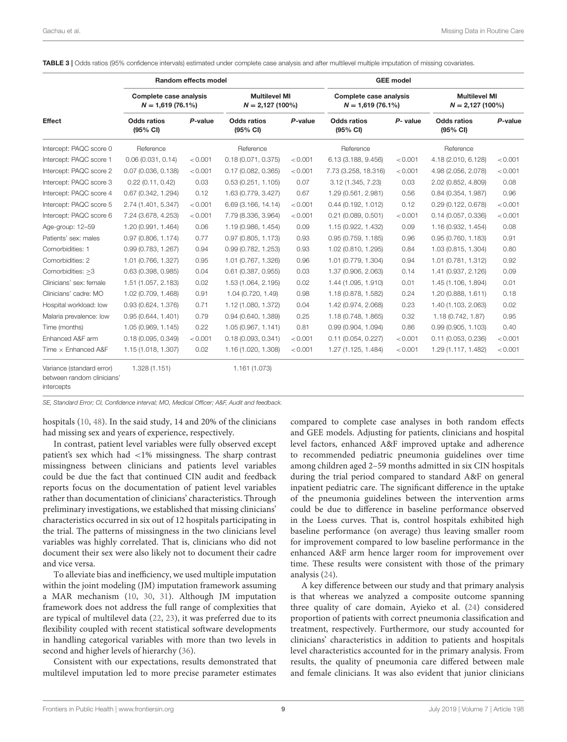<span id="page-8-0"></span>TABLE 3 | Odds ratios (95% confidence intervals) estimated under complete case analysis and after multilevel multiple imputation of missing covariates.

|                                                         |                                               | <b>Random effects model</b> |                                            |         | <b>GEE model</b>                              |          |                                            |         |  |  |
|---------------------------------------------------------|-----------------------------------------------|-----------------------------|--------------------------------------------|---------|-----------------------------------------------|----------|--------------------------------------------|---------|--|--|
| <b>Effect</b>                                           | Complete case analysis<br>$N = 1,619(76.1\%)$ |                             | <b>Multilevel MI</b><br>$N = 2,127(100\%)$ |         | Complete case analysis<br>$N = 1,619(76.1\%)$ |          | <b>Multilevel MI</b><br>$N = 2,127(100\%)$ |         |  |  |
|                                                         | <b>Odds ratios</b><br>(95% CI)                | P-value                     | <b>Odds ratios</b><br>(95% CI)             | P-value | <b>Odds ratios</b><br>(95% CI)                | P- value | Odds ratios<br>(95% CI)                    | P-value |  |  |
| Intercept: PAQC score 0                                 | Reference                                     |                             | Reference                                  |         | Reference                                     |          | Reference                                  |         |  |  |
| Intercept: PAQC score 1                                 | 0.06(0.031, 0.14)                             | < 0.001                     | 0.18(0.071, 0.375)                         | < 0.001 | 6.13 (3.188, 9.456)                           | < 0.001  | 4.18 (2.010, 6.128)                        | < 0.001 |  |  |
| Intercept: PAQC score 2                                 | $0.07$ (0.036, 0.138)                         | < 0.001                     | 0.17(0.082, 0.365)                         | < 0.001 | 7.73 (3.258, 18.316)                          | < 0.001  | 4.98 (2.056, 2.078)                        | < 0.001 |  |  |
| Intercept: PAQC score 3                                 | 0.03<br>0.22(0.11, 0.42)                      |                             | 0.53(0.251, 1.105)                         | 0.07    | 3.12 (1.345, 7.23)                            | 0.03     | 2.02 (0.852, 4.809)                        | 0.08    |  |  |
| Intercept: PAQC score 4                                 | 0.12<br>$0.67$ (0.342, 1.294)                 |                             | 1.63 (0.779, 3.427)                        | 0.67    | 1.29 (0.561, 2.981)                           | 0.56     | 0.84(0.354, 1.987)                         | 0.96    |  |  |
| Intercept: PAQC score 5                                 | 2.74 (1.401, 5.347)<br>< 0.001                |                             | 6.69 (3.166, 14.14)                        | < 0.001 | 0.44(0.192, 1.012)                            | 0.12     | 0.29(0.122, 0.678)                         | < 0.001 |  |  |
| Intercept: PAQC score 6                                 | 7.24 (3.678, 4.253)<br>< 0.001                |                             | 7.79 (8.336, 3.964)                        | < 0.001 | 0.21(0.089, 0.501)                            | < 0.001  | 0.14(0.057, 0.336)                         | < 0.001 |  |  |
| Age-group: 12-59                                        | 0.06<br>1.20 (0.991, 1.464)                   |                             | 1.19 (0.986, 1.454)                        | 0.09    | 1.15 (0.922, 1.432)                           | 0.09     | 1.16 (0.932, 1.454)                        | 0.08    |  |  |
| Patients' sex: males                                    | 0.97(0.806, 1.174)                            | 0.77                        | 0.97(0.805, 1.173)                         | 0.93    | 0.95(0.759, 1.185)                            | 0.96     | 0.95(0.760, 1.183)                         | 0.91    |  |  |
| Comorbidities: 1                                        | 0.99(0.783, 1.267)                            | 0.94                        | 0.99(0.782, 1.253)                         | 0.93    | 1.02 (0.810, 1.295)                           | 0.84     | 1.03 (0.815, 1.304)                        | 0.80    |  |  |
| Comorbidities: 2                                        | 1.01 (0.766, 1.327)                           | 0.95                        | 1.01 (0.767, 1.326)                        | 0.96    | 1.01 (0.779, 1.304)                           | 0.94     | 1.01 (0.781, 1.312)                        | 0.92    |  |  |
| Comorbidities: >3                                       | 0.63(0.398, 0.985)                            | 0.04                        | $0.61$ (0.387, 0.955)                      | 0.03    | 1.37 (0.906, 2.063)                           | 0.14     | 1.41 (0.937, 2.126)                        | 0.09    |  |  |
| Clinicians' sex: female                                 | 1.51 (1.057, 2.183)                           | 0.02                        | 1.53 (1.064, 2.195)                        | 0.02    | 1.44 (1.095, 1.910)                           | 0.01     | 1.45 (1.106, 1.894)                        | 0.01    |  |  |
| Clinicians' cadre: MO                                   | 1.02 (0.709, 1.468)                           | 0.91                        | 1.04 (0.720, 1.49)                         | 0.98    | 1.18 (0.878, 1.582)                           | 0.24     | 1.20 (0.888, 1.611)                        | 0.18    |  |  |
| Hospital workload: low                                  | 0.93(0.624, 1.376)                            | 0.71                        | 1.12 (1.080, 1.372)                        | 0.04    | 1.42 (0.974, 2.068)                           | 0.23     | 1.40 (1.103, 2.063)                        | 0.02    |  |  |
| Malaria prevalence: low                                 | 0.95(0.644, 1.401)                            | 0.79                        | 0.94(0.640, 1.389)                         | 0.25    | 1.18 (0.748, 1.865)                           | 0.32     | 1.18 (0.742, 1.87)                         | 0.95    |  |  |
| Time (months)                                           | 1.05 (0.969, 1.145)                           | 0.22                        | 1.05 (0.967, 1.141)                        | 0.81    | 0.99(0.904, 1.094)                            | 0.86     | 0.99(0.905, 1.103)                         | 0.40    |  |  |
| Enhanced A&F arm                                        | 0.18(0.095, 0.349)                            | < 0.001                     | 0.18(0.093, 0.341)                         | < 0.001 | 0.11(0.054, 0.227)                            | < 0.001  | 0.11(0.053, 0.236)                         | < 0.001 |  |  |
| Time $\times$ Enhanced A&F                              | 1.15 (1.018, 1.307)                           | 0.02                        | 1.16 (1.020, 1.308)                        | < 0.001 | 1.27 (1.125, 1.484)                           | < 0.001  | 1.29 (1.117, 1.482)                        | < 0.001 |  |  |
| Variance (standard error)<br>between random clinicians' | 1.328(1.151)                                  |                             | 1.161 (1.073)                              |         |                                               |          |                                            |         |  |  |

intercepts

*SE, Standard Error; CI, Confidence interval; MO, Medical Officer; A&F, Audit and feedback.*

hospitals [\(10,](#page-10-7) [48\)](#page-11-23). In the said study, 14 and 20% of the clinicians had missing sex and years of experience, respectively.

In contrast, patient level variables were fully observed except patient's sex which had <1% missingness. The sharp contrast missingness between clinicians and patients level variables could be due the fact that continued CIN audit and feedback reports focus on the documentation of patient level variables rather than documentation of clinicians' characteristics. Through preliminary investigations, we established that missing clinicians' characteristics occurred in six out of 12 hospitals participating in the trial. The patterns of missingness in the two clinicians level variables was highly correlated. That is, clinicians who did not document their sex were also likely not to document their cadre and vice versa.

To alleviate bias and inefficiency, we used multiple imputation within the joint modeling (JM) imputation framework assuming a MAR mechanism [\(10,](#page-10-7) [30,](#page-11-9) [31\)](#page-11-10). Although JM imputation framework does not address the full range of complexities that are typical of multilevel data [\(22,](#page-11-24) [23\)](#page-11-2), it was preferred due to its flexibility coupled with recent statistical software developments in handling categorical variables with more than two levels in second and higher levels of hierarchy [\(36\)](#page-11-14).

Consistent with our expectations, results demonstrated that multilevel imputation led to more precise parameter estimates

compared to complete case analyses in both random effects and GEE models. Adjusting for patients, clinicians and hospital level factors, enhanced A&F improved uptake and adherence to recommended pediatric pneumonia guidelines over time among children aged 2–59 months admitted in six CIN hospitals during the trial period compared to standard A&F on general inpatient pediatric care. The significant difference in the uptake of the pneumonia guidelines between the intervention arms could be due to difference in baseline performance observed in the Loess curves. That is, control hospitals exhibited high baseline performance (on average) thus leaving smaller room for improvement compared to low baseline performance in the enhanced A&F arm hence larger room for improvement over time. These results were consistent with those of the primary analysis [\(24\)](#page-11-3).

A key difference between our study and that primary analysis is that whereas we analyzed a composite outcome spanning three quality of care domain, Ayieko et al. [\(24\)](#page-11-3) considered proportion of patients with correct pneumonia classification and treatment, respectively. Furthermore, our study accounted for clinicians' characteristics in addition to patients and hospitals level characteristics accounted for in the primary analysis. From results, the quality of pneumonia care differed between male and female clinicians. It was also evident that junior clinicians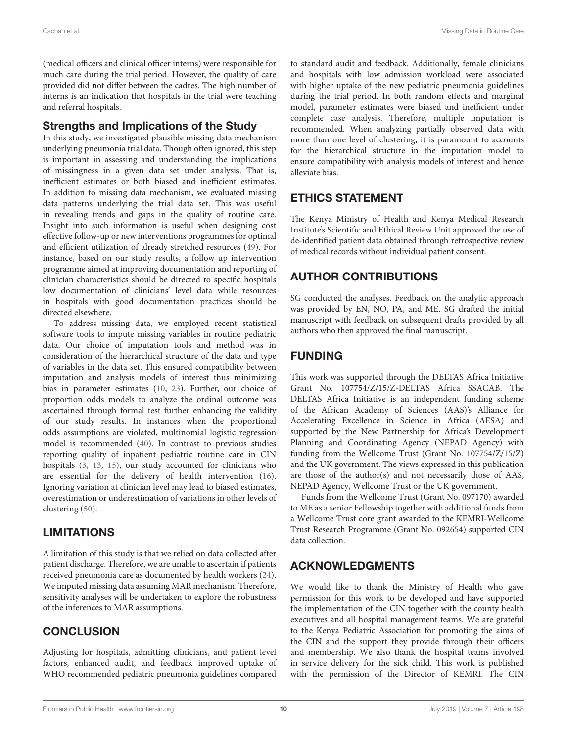(medical officers and clinical officer interns) were responsible for much care during the trial period. However, the quality of care provided did not differ between the cadres. The high number of interns is an indication that hospitals in the trial were teaching and referral hospitals.

## Strengths and Implications of the Study

In this study, we investigated plausible missing data mechanism underlying pneumonia trial data. Though often ignored, this step is important in assessing and understanding the implications of missingness in a given data set under analysis. That is, inefficient estimates or both biased and inefficient estimates. In addition to missing data mechanism, we evaluated missing data patterns underlying the trial data set. This was useful in revealing trends and gaps in the quality of routine care. Insight into such information is useful when designing cost effective follow-up or new interventions programmes for optimal and efficient utilization of already stretched resources [\(49\)](#page-11-25). For instance, based on our study results, a follow up intervention programme aimed at improving documentation and reporting of clinician characteristics should be directed to specific hospitals low documentation of clinicians' level data while resources in hospitals with good documentation practices should be directed elsewhere.

To address missing data, we employed recent statistical software tools to impute missing variables in routine pediatric data. Our choice of imputation tools and method was in consideration of the hierarchical structure of the data and type of variables in the data set. This ensured compatibility between imputation and analysis models of interest thus minimizing bias in parameter estimates [\(10,](#page-10-7) [23\)](#page-11-2). Further, our choice of proportion odds models to analyze the ordinal outcome was ascertained through formal test further enhancing the validity of our study results. In instances when the proportional odds assumptions are violated, multinomial logistic regression model is recommended [\(40\)](#page-11-18). In contrast to previous studies reporting quality of inpatient pediatric routine care in CIN hospitals [\(3,](#page-10-2) [13,](#page-10-12) [15\)](#page-10-10), our study accounted for clinicians who are essential for the delivery of health intervention [\(16\)](#page-10-11). Ignoring variation at clinician level may lead to biased estimates, overestimation or underestimation of variations in other levels of clustering [\(50\)](#page-11-26).

# LIMITATIONS

A limitation of this study is that we relied on data collected after patient discharge. Therefore, we are unable to ascertain if patients received pneumonia care as documented by health workers [\(24\)](#page-11-3). We imputed missing data assuming MAR mechanism. Therefore, sensitivity analyses will be undertaken to explore the robustness of the inferences to MAR assumptions.

# **CONCLUSION**

Adjusting for hospitals, admitting clinicians, and patient level factors, enhanced audit, and feedback improved uptake of WHO recommended pediatric pneumonia guidelines compared

to standard audit and feedback. Additionally, female clinicians and hospitals with low admission workload were associated with higher uptake of the new pediatric pneumonia guidelines during the trial period. In both random effects and marginal model, parameter estimates were biased and inefficient under complete case analysis. Therefore, multiple imputation is recommended. When analyzing partially observed data with more than one level of clustering, it is paramount to accounts for the hierarchical structure in the imputation model to ensure compatibility with analysis models of interest and hence alleviate bias.

# ETHICS STATEMENT

The Kenya Ministry of Health and Kenya Medical Research Institute's Scientific and Ethical Review Unit approved the use of de-identified patient data obtained through retrospective review of medical records without individual patient consent.

# AUTHOR CONTRIBUTIONS

SG conducted the analyses. Feedback on the analytic approach was provided by EN, NO, PA, and ME. SG drafted the initial manuscript with feedback on subsequent drafts provided by all authors who then approved the final manuscript.

# FUNDING

This work was supported through the DELTAS Africa Initiative Grant No. 107754/Z/15/Z-DELTAS Africa SSACAB. The DELTAS Africa Initiative is an independent funding scheme of the African Academy of Sciences (AAS)'s Alliance for Accelerating Excellence in Science in Africa (AESA) and supported by the New Partnership for Africa's Development Planning and Coordinating Agency (NEPAD Agency) with funding from the Wellcome Trust (Grant No. 107754/Z/15/Z) and the UK government. The views expressed in this publication are those of the author(s) and not necessarily those of AAS, NEPAD Agency, Wellcome Trust or the UK government.

Funds from the Wellcome Trust (Grant No. 097170) awarded to ME as a senior Fellowship together with additional funds from a Wellcome Trust core grant awarded to the KEMRI-Wellcome Trust Research Programme (Grant No. 092654) supported CIN data collection.

# ACKNOWLEDGMENTS

We would like to thank the Ministry of Health who gave permission for this work to be developed and have supported the implementation of the CIN together with the county health executives and all hospital management teams. We are grateful to the Kenya Pediatric Association for promoting the aims of the CIN and the support they provide through their officers and membership. We also thank the hospital teams involved in service delivery for the sick child. This work is published with the permission of the Director of KEMRI. The CIN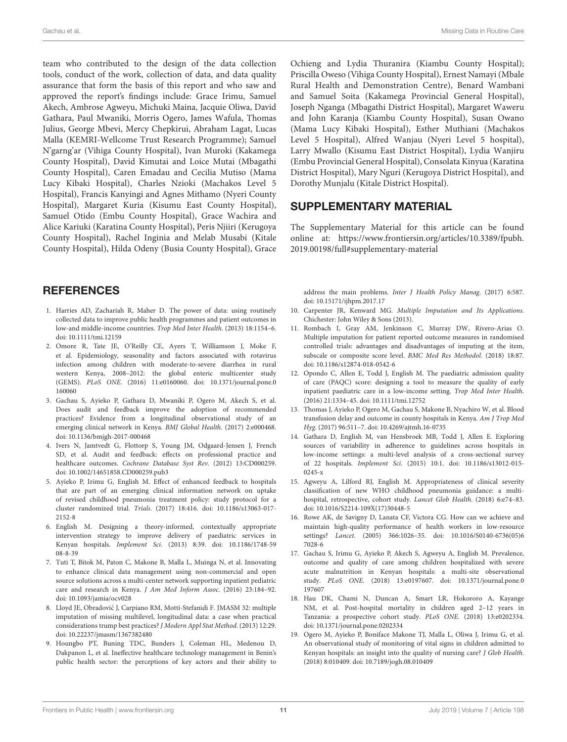team who contributed to the design of the data collection tools, conduct of the work, collection of data, and data quality assurance that form the basis of this report and who saw and approved the report's findings include: Grace Irimu, Samuel Akech, Ambrose Agweyu, Michuki Maina, Jacquie Oliwa, David Gathara, Paul Mwaniki, Morris Ogero, James Wafula, Thomas Julius, George Mbevi, Mercy Chepkirui, Abraham Lagat, Lucas Malla (KEMRI-Wellcome Trust Research Programme); Samuel N'garng'ar (Vihiga County Hospital), Ivan Muroki (Kakamega County Hospital), David Kimutai and Loice Mutai (Mbagathi County Hospital), Caren Emadau and Cecilia Mutiso (Mama Lucy Kibaki Hospital), Charles Nzioki (Machakos Level 5 Hospital), Francis Kanyingi and Agnes Mithamo (Nyeri County Hospital), Margaret Kuria (Kisumu East County Hospital), Samuel Otido (Embu County Hospital), Grace Wachira and Alice Kariuki (Karatina County Hospital), Peris Njiiri (Kerugoya County Hospital), Rachel Inginia and Melab Musabi (Kitale County Hospital), Hilda Odeny (Busia County Hospital), Grace

# **REFERENCES**

- <span id="page-10-0"></span>1. Harries AD, Zachariah R, Maher D. The power of data: using routinely collected data to improve public health programmes and patient outcomes in low-and middle-income countries. Trop Med Inter Health. (2013) 18:1154–6. doi: [10.1111/tmi.12159](https://doi.org/10.1111/tmi.12159)
- <span id="page-10-1"></span>2. Omore R, Tate JE, O'Reilly CE, Ayers T, Williamson J, Moke F, et al. Epidemiology, seasonality and factors associated with rotavirus infection among children with moderate-to-severe diarrhea in rural western Kenya, 2008–2012: the global enteric multicenter study (GEMS). PLoS ONE[. \(2016\) 11:e0160060. doi: 10.1371/journal.pone.0](https://doi.org/10.1371/journal.pone.0160060) 160060
- <span id="page-10-2"></span>3. Gachau S, Ayieko P, Gathara D, Mwaniki P, Ogero M, Akech S, et al. Does audit and feedback improve the adoption of recommended practices? Evidence from a longitudinal observational study of an emerging clinical network in Kenya. BMJ Global Health. (2017) 2:e000468. doi: [10.1136/bmjgh-2017-000468](https://doi.org/10.1136/bmjgh-2017-000468)
- 4. Ivers N, Jamtvedt G, Flottorp S, Young JM, Odgaard-Jensen J, French SD, et al. Audit and feedback: effects on professional practice and healthcare outcomes. Cochrane Database Syst Rev. (2012) 13:CD000259. doi: [10.1002/14651858.CD000259.pub3](https://doi.org/10.1002/14651858.CD000259.pub3)
- <span id="page-10-3"></span>5. Ayieko P, Irimu G, English M. Effect of enhanced feedback to hospitals that are part of an emerging clinical information network on uptake of revised childhood pneumonia treatment policy: study protocol for a cluster randomized trial. Trials[. \(2017\) 18:416. doi: 10.1186/s13063-017-](https://doi.org/10.1186/s13063-017-2152-8) 2152-8
- <span id="page-10-16"></span>6. English M. Designing a theory-informed, contextually appropriate intervention strategy to improve delivery of paediatric services in Kenyan hospitals. Implement Sci[. \(2013\) 8:39. doi: 10.1186/1748-59](https://doi.org/10.1186/1748-5908-8-39) 08-8-39
- <span id="page-10-4"></span>7. Tuti T, Bitok M, Paton C, Makone B, Malla L, Muinga N, et al. Innovating to enhance clinical data management using non-commercial and open source solutions across a multi-center network supporting inpatient pediatric care and research in Kenya. J Am Med Inform Assoc. (2016) 23:184–92. doi: [10.1093/jamia/ocv028](https://doi.org/10.1093/jamia/ocv028)
- <span id="page-10-5"></span>8. Lloyd JE, Obradović J, Carpiano RM, Motti-Stefanidi F. JMASM 32: multiple imputation of missing multilevel, longitudinal data: a case when practical considerations trump best practices? J Modern Appl Stat Method. (2013) 12:29. doi: [10.22237/jmasm/1367382480](https://doi.org/10.22237/jmasm/1367382480)
- <span id="page-10-6"></span>9. Houngbo PT, Buning TDC, Bunders J, Coleman HL, Medenou D, Dakpanon L, et al. Ineffective healthcare technology management in Benin's public health sector: the perceptions of key actors and their ability to

Ochieng and Lydia Thuranira (Kiambu County Hospital); Priscilla Oweso (Vihiga County Hospital), Ernest Namayi (Mbale Rural Health and Demonstration Centre), Benard Wambani and Samuel Soita (Kakamega Provincial General Hospital), Joseph Nganga (Mbagathi District Hospital), Margaret Waweru and John Karanja (Kiambu County Hospital), Susan Owano (Mama Lucy Kibaki Hospital), Esther Muthiani (Machakos Level 5 Hospital), Alfred Wanjau (Nyeri Level 5 hospital), Larry Mwallo (Kisumu East District Hospital), Lydia Wanjiru (Embu Provincial General Hospital), Consolata Kinyua (Karatina District Hospital), Mary Nguri (Kerugoya District Hospital), and Dorothy Munjalu (Kitale District Hospital).

# SUPPLEMENTARY MATERIAL

<span id="page-10-17"></span>The Supplementary Material for this article can be found [online at: https://www.frontiersin.org/articles/10.3389/fpubh.](https://www.frontiersin.org/articles/10.3389/fpubh.2019.00198/full#supplementary-material) 2019.00198/full#supplementary-material

address the main problems. Inter J Health Policy Manag. (2017) 6:587. doi: [10.15171/ijhpm.2017.17](https://doi.org/10.15171/ijhpm.2017.17)

- <span id="page-10-7"></span>10. Carpenter JR, Kenward MG. Multiple Imputation and Its Applications. Chichester: John Wiley & Sons (2013).
- <span id="page-10-8"></span>11. Rombach I, Gray AM, Jenkinson C, Murray DW, Rivero-Arias O. Multiple imputation for patient reported outcome measures in randomised controlled trials: advantages and disadvantages of imputing at the item, subscale or composite score level. BMC Med Res Methodol. (2018) 18:87. doi: [10.1186/s12874-018-0542-6](https://doi.org/10.1186/s12874-018-0542-6)
- <span id="page-10-9"></span>12. Opondo C, Allen E, Todd J, English M. The paediatric admission quality of care (PAQC) score: designing a tool to measure the quality of early inpatient paediatric care in a low-income setting. Trop Med Inter Health. (2016) 21:1334–45. doi: [10.1111/tmi.12752](https://doi.org/10.1111/tmi.12752)
- <span id="page-10-12"></span>13. Thomas J, Ayieko P, Ogero M, Gachau S, Makone B, Nyachiro W, et al. Blood transfusion delay and outcome in county hospitals in Kenya. Am J Trop Med Hyg. (2017) 96:511–7. doi: [10.4269/ajtmh.16-0735](https://doi.org/10.4269/ajtmh.16-0735)
- 14. Gathara D, English M, van Hensbroek MB, Todd J, Allen E. Exploring sources of variability in adherence to guidelines across hospitals in low-income settings: a multi-level analysis of a cross-sectional survey of 22 hospitals. Implement Sci[. \(2015\) 10:1. doi: 10.1186/s13012-015-](https://doi.org/10.1186/s13012-015-0245-x) 0245-x
- <span id="page-10-10"></span>15. Agweyu A, Lilford RJ, English M. Appropriateness of clinical severity classification of new WHO childhood pneumonia guidance: a multihospital, retrospective, cohort study. Lancet Glob Health. (2018) 6:e74–83. doi: [10.1016/S2214-109X\(17\)30448-5](https://doi.org/10.1016/S2214-109X(17)30448-5)
- <span id="page-10-11"></span>16. Rowe AK, de Savigny D, Lanata CF, Victora CG. How can we achieve and maintain high-quality performance of health workers in low-resource settings? Lancet[. \(2005\) 366:1026–35. doi: 10.1016/S0140-6736\(05\)6](https://doi.org/10.1016/S0140-6736(05)67028-6) 7028-6
- <span id="page-10-13"></span>17. Gachau S, Irimu G, Ayieko P, Akech S, Agweyu A, English M. Prevalence, outcome and quality of care among children hospitalized with severe acute malnutrition in Kenyan hospitals: a multi-site observational study. PLoS ONE[. \(2018\) 13:e0197607. doi: 10.1371/journal.pone.0](https://doi.org/10.1371/journal.pone.0197607) 197607
- <span id="page-10-14"></span>18. Hau DK, Chami N, Duncan A, Smart LR, Hokororo A, Kayange NM, et al. Post-hospital mortality in children aged 2–12 years in Tanzania: a prospective cohort study. PLoS ONE. (2018) 13:e0202334. doi: [10.1371/journal.pone.0202334](https://doi.org/10.1371/journal.pone.0202334)
- <span id="page-10-15"></span>19. Ogero M, Ayieko P, Boniface Makone TJ, Malla L, Oliwa J, Irimu G, et al. An observational study of monitoring of vital signs in children admitted to Kenyan hospitals: an insight into the quality of nursing care? J Glob Health. (2018) 8:010409. doi: [10.7189/jogh.08.010409](https://doi.org/10.7189/jogh.08.010409)